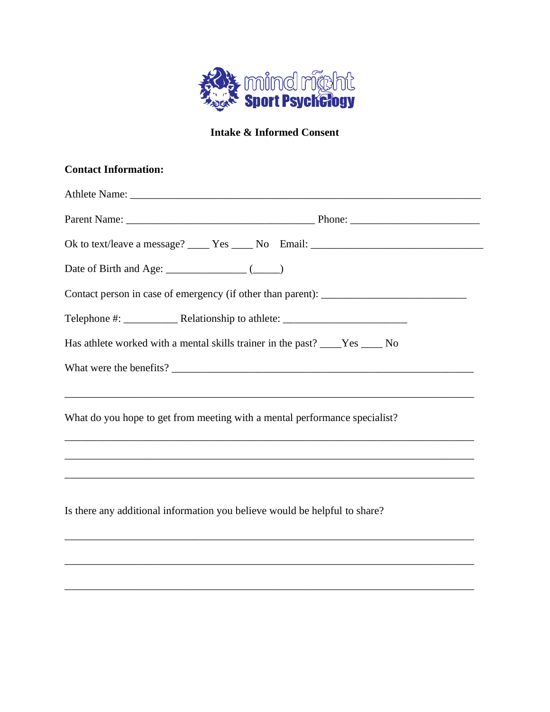

## **Intake & Informed Consent**

# **Contact Information:**

| Has athlete worked with a mental skills trainer in the past? ____Yes ____ No                                                                                    |  |  |  |  |  |  |
|-----------------------------------------------------------------------------------------------------------------------------------------------------------------|--|--|--|--|--|--|
| ,我们也不会有什么。""我们的人,我们也不会有什么?""我们的人,我们也不会有什么?""我们的人,我们也不会有什么?""我们的人,我们也不会有什么?""我们的人                                                                                |  |  |  |  |  |  |
| What do you hope to get from meeting with a mental performance specialist?<br>,我们也不能在这里的时候,我们也不能在这里的时候,我们也不能会在这里的时候,我们也不能会在这里的时候,我们也不能会在这里的时候,我们也不能会在这里的时候,我们也不 |  |  |  |  |  |  |
|                                                                                                                                                                 |  |  |  |  |  |  |
| Is there any additional information you believe would be helpful to share?                                                                                      |  |  |  |  |  |  |
|                                                                                                                                                                 |  |  |  |  |  |  |

\_\_\_\_\_\_\_\_\_\_\_\_\_\_\_\_\_\_\_\_\_\_\_\_\_\_\_\_\_\_\_\_\_\_\_\_\_\_\_\_\_\_\_\_\_\_\_\_\_\_\_\_\_\_\_\_\_\_\_\_\_\_\_\_\_\_\_\_\_\_\_\_\_\_\_\_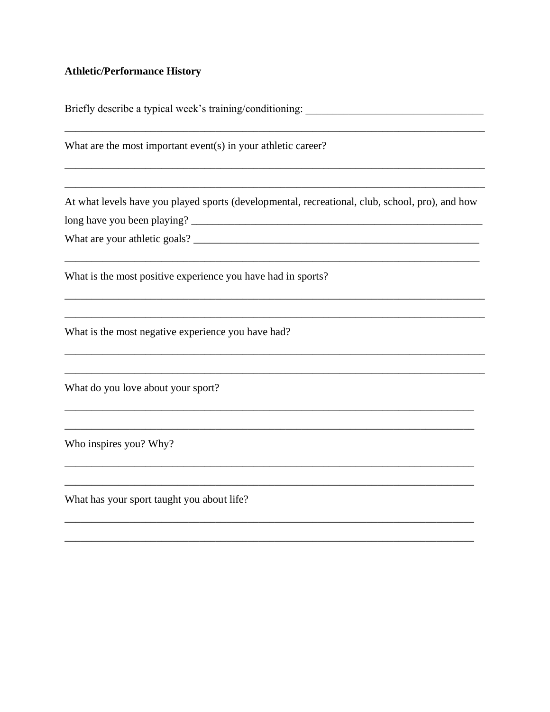### **Athletic/Performance History**

What are the most important event(s) in your athletic career? At what levels have you played sports (developmental, recreational, club, school, pro), and how What are your athletic goals? What is the most positive experience you have had in sports? What is the most negative experience you have had? What do you love about your sport? Who inspires you? Why?

Briefly describe a typical week's training/conditioning:

What has your sport taught you about life?